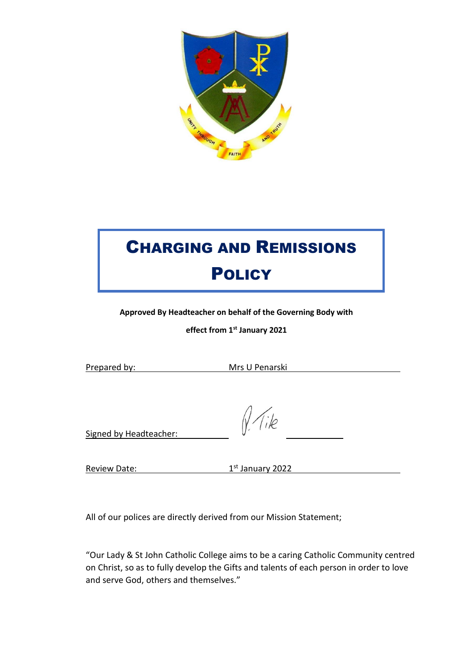

# CHARGING AND REMISSIONS **POLICY**

**Approved By Headteacher on behalf of the Governing Body with** 

**effect from 1st January 2021**

Prepared by: Mrs U Penarski

Tile

Signed by Headteacher:

**Review Date:** 

1st January 2022

All of our polices are directly derived from our Mission Statement;

"Our Lady & St John Catholic College aims to be a caring Catholic Community centred on Christ, so as to fully develop the Gifts and talents of each person in order to love and serve God, others and themselves."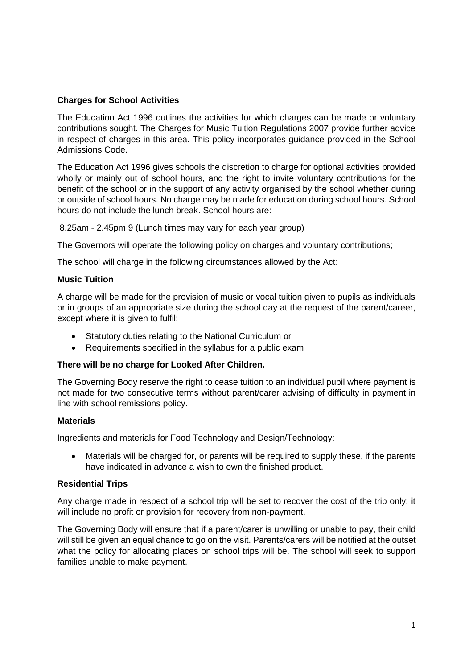## **Charges for School Activities**

The Education Act 1996 outlines the activities for which charges can be made or voluntary contributions sought. The Charges for Music Tuition Regulations 2007 provide further advice in respect of charges in this area. This policy incorporates guidance provided in the School Admissions Code.

The Education Act 1996 gives schools the discretion to charge for optional activities provided wholly or mainly out of school hours, and the right to invite voluntary contributions for the benefit of the school or in the support of any activity organised by the school whether during or outside of school hours. No charge may be made for education during school hours. School hours do not include the lunch break. School hours are:

8.25am - 2.45pm 9 (Lunch times may vary for each year group)

The Governors will operate the following policy on charges and voluntary contributions;

The school will charge in the following circumstances allowed by the Act:

#### **Music Tuition**

A charge will be made for the provision of music or vocal tuition given to pupils as individuals or in groups of an appropriate size during the school day at the request of the parent/career, except where it is given to fulfil:

- Statutory duties relating to the National Curriculum or
- Requirements specified in the syllabus for a public exam

### **There will be no charge for Looked After Children.**

The Governing Body reserve the right to cease tuition to an individual pupil where payment is not made for two consecutive terms without parent/carer advising of difficulty in payment in line with school remissions policy.

#### **Materials**

Ingredients and materials for Food Technology and Design/Technology:

• Materials will be charged for, or parents will be required to supply these, if the parents have indicated in advance a wish to own the finished product.

### **Residential Trips**

Any charge made in respect of a school trip will be set to recover the cost of the trip only; it will include no profit or provision for recovery from non-payment.

The Governing Body will ensure that if a parent/carer is unwilling or unable to pay, their child will still be given an equal chance to go on the visit. Parents/carers will be notified at the outset what the policy for allocating places on school trips will be. The school will seek to support families unable to make payment.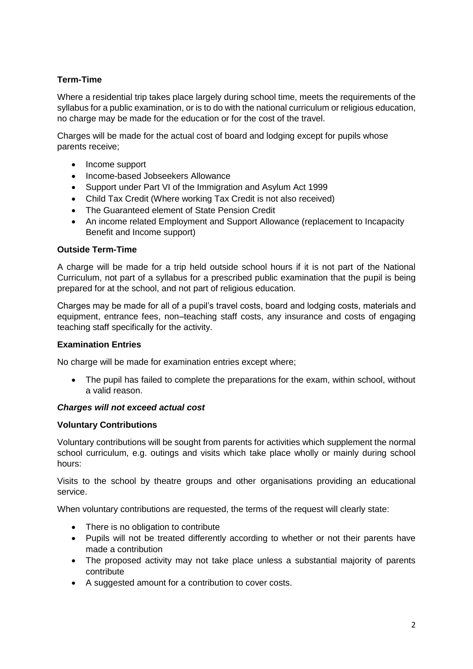# **Term-Time**

Where a residential trip takes place largely during school time, meets the requirements of the syllabus for a public examination, or is to do with the national curriculum or religious education, no charge may be made for the education or for the cost of the travel.

Charges will be made for the actual cost of board and lodging except for pupils whose parents receive;

- Income support
- Income-based Jobseekers Allowance
- Support under Part VI of the Immigration and Asylum Act 1999
- Child Tax Credit (Where working Tax Credit is not also received)
- The Guaranteed element of State Pension Credit
- An income related Employment and Support Allowance (replacement to Incapacity Benefit and Income support)

## **Outside Term-Time**

A charge will be made for a trip held outside school hours if it is not part of the National Curriculum, not part of a syllabus for a prescribed public examination that the pupil is being prepared for at the school, and not part of religious education.

Charges may be made for all of a pupil's travel costs, board and lodging costs, materials and equipment, entrance fees, non–teaching staff costs, any insurance and costs of engaging teaching staff specifically for the activity.

## **Examination Entries**

No charge will be made for examination entries except where:

• The pupil has failed to complete the preparations for the exam, within school, without a valid reason.

### *Charges will not exceed actual cost*

### **Voluntary Contributions**

Voluntary contributions will be sought from parents for activities which supplement the normal school curriculum, e.g. outings and visits which take place wholly or mainly during school hours:

Visits to the school by theatre groups and other organisations providing an educational service.

When voluntary contributions are requested, the terms of the request will clearly state:

- There is no obligation to contribute
- Pupils will not be treated differently according to whether or not their parents have made a contribution
- The proposed activity may not take place unless a substantial majority of parents contribute
- A suggested amount for a contribution to cover costs.